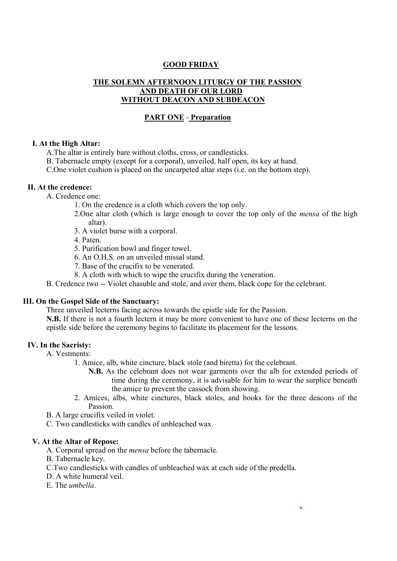### **GOOD FRIDAY**

## **THE SOLEMN AFTERNOON LITURGY OF THE PASSION AND DEATH OF OUR LORD WITHOUT DEACON AND SUBDEACON**

### **PART ONE** - **Preparation**

### **I. At the High Altar:**

A.The altar is entirely bare without cloths, cross, or candlesticks.

B. Tabernacle empty (except for a corporal), unveiled, half open, its key at hand.

C.One violet cushion is placed on the uncarpeted altar steps (i.e. on the bottom step).

### **II. At the credence:**

A. Credence one:

- 1. On the credence is a cloth which covers the top only.
- 2.One altar cloth (which is large enough to cover the top only of the *mensa* of the high altar).
- 3. A violet burse with a corporal.
- 4. Paten.
- 5. Purification bowl and finger towel.
- 6. An O.H.S. on an unveiled missal stand.
- 7. Base of the crucifix to be venerated.
- 8. A cloth with which to wipe the crucifix during the veneration.

B. Credence two -- Violet chasuble and stole, and over them, black cope for the celebrant.

#### **III. On the Gospel Side of the Sanctuary:**

Three unveiled lecterns facing across towards the epistle side for the Passion.

**N.B.** If there is not a fourth lectern it may be more convenient to have one of these lecterns on the epistle side before the ceremony begins to facilitate its placement for the lessons.

#### **IV. In the Sacristy:**

A. Vestments:

1. Amice, alb, white cincture, black stole (and biretta) for the celebrant.

- **N.B.** As the celebrant does not wear garments over the alb for extended periods of time during the ceremony, it is advisable for him to wear the surplice beneath the amice to prevent the cassock from showing.
- 2. Amices, albs, white cinctures, black stoles, and books for the three deacons of the Passion.
- B. A large crucifix veiled in violet.
- C. Two candlesticks with candles of unbleached wax.

#### **V. At the Altar of Repose:**

- A. Corporal spread on the *mensa* before the tabernacle.
- B. Tabernacle key.
- C.Two candlesticks with candles of unbleached wax at each side of the predella.
- D. A white humeral veil.
- E. The *umbella*.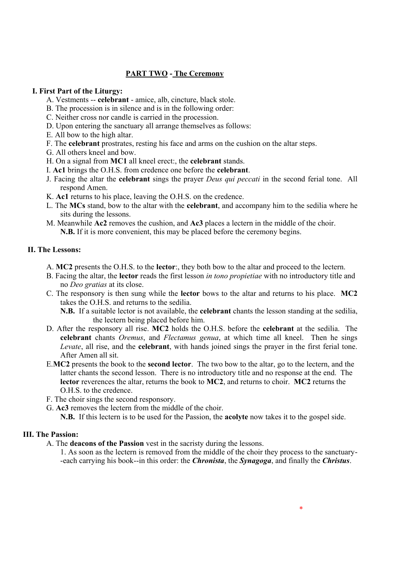## **PART TWO - The Ceremony**

### **I. First Part of the Liturgy:**

- A. Vestments -- **celebrant** amice, alb, cincture, black stole.
- B. The procession is in silence and is in the following order:
- C. Neither cross nor candle is carried in the procession.
- D. Upon entering the sanctuary all arrange themselves as follows:
- E. All bow to the high altar.
- F. The **celebrant** prostrates, resting his face and arms on the cushion on the altar steps.
- G. All others kneel and bow.
- H. On a signal from **MC1** all kneel erect:, the **celebrant** stands.
- I. **Ac1** brings the O.H.S. from credence one before the **celebrant**.
- J. Facing the altar the **celebrant** sings the prayer *Deus qui peccati* in the second ferial tone. All respond Amen.
- K. **Ac1** returns to his place, leaving the O.H.S. on the credence.
- L. The **MCs** stand, bow to the altar with the **celebrant**, and accompany him to the sedilia where he sits during the lessons.
- M. Meanwhile **Ac2** removes the cushion, and **Ac3** places a lectern in the middle of the choir. **N.B.** If it is more convenient, this may be placed before the ceremony begins.

### **II. The Lessons:**

- A. **MC2** presents the O.H.S. to the **lector**:, they both bow to the altar and proceed to the lectern.
- B. Facing the altar, the **lector** reads the first lesson *in tono propietiae* with no introductory title and no *Deo gratias* at its close.
- C. The responsory is then sung while the **lector** bows to the altar and returns to his place. **MC2** takes the O.H.S. and returns to the sedilia.
	- **N.B.** If a suitable lector is not available, the **celebrant** chants the lesson standing at the sedilia, the lectern being placed before him.
- D. After the responsory all rise. **MC2** holds the O.H.S. before the **celebrant** at the sedilia. The **celebrant** chants *Oremus*, and *Flectamus genua*, at which time all kneel. Then he sings *Levate*, all rise, and the **celebrant**, with hands joined sings the prayer in the first ferial tone. After Amen all sit.
- E.**MC2** presents the book to the **second lector**. The two bow to the altar, go to the lectern, and the latter chants the second lesson. There is no introductory title and no response at the end. The **lector** reverences the altar, returns the book to **MC2**, and returns to choir. **MC2** returns the O.H.S. to the credence.
- F. The choir sings the second responsory.
- G. **Ac3** removes the lectern from the middle of the choir.
	- **N.B.** If this lectern is to be used for the Passion, the **acolyte** now takes it to the gospel side.

## **III. The Passion:**

A. The **deacons of the Passion** vest in the sacristy during the lessons.

1. As soon as the lectern is removed from the middle of the choir they process to the sanctuary- -each carrying his book--in this order: the *Chronista*, the *Synagoga*, and finally the *Christus*.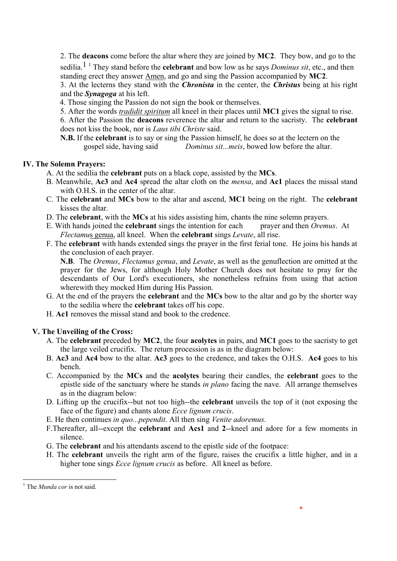2. The **deacons** come before the altar where they are joined by **MC2**. They bow, and go to the

sedilia.1 <sup>1</sup> They stand before the **celebrant** and bow low as he says *Dominus sit*, etc., and then standing erect they answer Amen, and go and sing the Passion accompanied by **MC2**.

3. At the lecterns they stand with the *Chronista* in the center, the *Christus* being at his right and the *Synagoga* at his left.

4. Those singing the Passion do not sign the book or themselves.

5. After the words *tradidit spiritum* all kneel in their places until **MC1** gives the signal to rise.

6. After the Passion the **deacons** reverence the altar and return to the sacristy. The **celebrant** does not kiss the book, nor is *Laus tibi Christe* said.

**N.B.** If the **celebrant** is to say or sing the Passion himself, he does so at the lectern on the gospel side, having said *Dominus sit...meis*, bowed low before the altar.

### **IV. The Solemn Prayers:**

- A. At the sedilia the **celebrant** puts on a black cope, assisted by the **MCs**.
- B. Meanwhile, **Ac3** and **Ac4** spread the altar cloth on the *mensa*, and **Ac1** places the missal stand with O.H.S. in the center of the altar.
- C. The **celebrant** and **MCs** bow to the altar and ascend, **MC1** being on the right. The **celebrant** kisses the altar.
- D. The **celebrant**, with the **MCs** at his sides assisting him, chants the nine solemn prayers.
- E. With hands joined the **celebrant** sings the intention for each prayer and then *Oremus*. At *Flectamu*s genua, all kneel. When the **celebrant** sings *Levate*, all rise.
- F. The **celebrant** with hands extended sings the prayer in the first ferial tone. He joins his hands at the conclusion of each prayer.

**N.B**. The *Oremus*, *Flectamus genua*, and *Levate*, as well as the genuflection are omitted at the prayer for the Jews, for although Holy Mother Church does not hesitate to pray for the descendants of Our Lord's executioners, she nonetheless refrains from using that action wherewith they mocked Him during His Passion.

- G. At the end of the prayers the **celebrant** and the **MCs** bow to the altar and go by the shorter way to the sedilia where the **celebrant** takes off his cope.
- H. **Ac1** removes the missal stand and book to the credence.

### **V. The Unveiling of the Cross:**

- A. The **celebrant** preceded by **MC2**, the four **acolytes** in pairs, and **MC1** goes to the sacristy to get the large veiled crucifix. The return procession is as in the diagram below:
- B. **Ac3** and **Ac4** bow to the altar. **Ac3** goes to the credence, and takes the O.H.S. **Ac4** goes to his bench.
- C. Accompanied by the **MCs** and the **acolytes** bearing their candles, the **celebrant** goes to the epistle side of the sanctuary where he stands *in plano* facing the nave. All arrange themselves as in the diagram below:
- D. Lifting up the crucifix--but not too high--the **celebrant** unveils the top of it (not exposing the face of the figure) and chants alone *Ecce lignum crucis*.
- E. He then continues *in quo...pependit*. All then sing *Venite adoremus*.
- F.Thereafter, all--except the **celebrant** and **Acs1** and **2**--kneel and adore for a few moments in silence.
- G. The **celebrant** and his attendants ascend to the epistle side of the footpace:
- H. The **celebrant** unveils the right arm of the figure, raises the crucifix a little higher, and in a higher tone sings *Ecce lignum crucis* as before. All kneel as before.

-

<sup>&</sup>lt;sup>1</sup> The *Munda cor* is not said.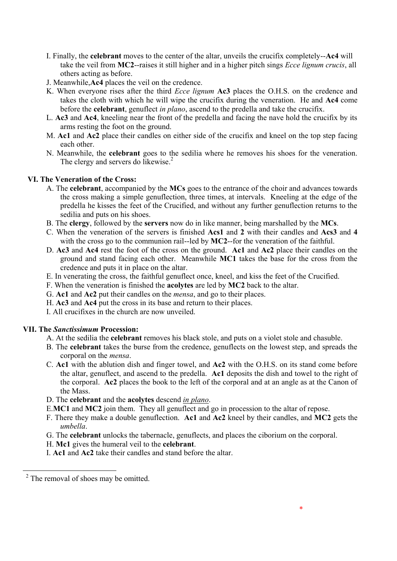- I. Finally, the **celebrant** moves to the center of the altar, unveils the crucifix completely--**Ac4** will take the veil from **MC2**--raises it still higher and in a higher pitch sings *Ecce lignum crucis*, all others acting as before.
- J. Meanwhile,**Ac4** places the veil on the credence.
- K. When everyone rises after the third *Ecce lignum* **Ac3** places the O.H.S. on the credence and takes the cloth with which he will wipe the crucifix during the veneration. He and **Ac4** come before the **celebrant**, genuflect *in plano*, ascend to the predella and take the crucifix.
- L. **Ac3** and **Ac4**, kneeling near the front of the predella and facing the nave hold the crucifix by its arms resting the foot on the ground.
- M. **Ac1** and **Ac2** place their candles on either side of the crucifix and kneel on the top step facing each other.
- N. Meanwhile, the **celebrant** goes to the sedilia where he removes his shoes for the veneration. The clergy and servers do likewise.<sup>2</sup>

### **VI. The Veneration of the Cross:**

- A. The **celebrant**, accompanied by the **MCs** goes to the entrance of the choir and advances towards the cross making a simple genuflection, three times, at intervals. Kneeling at the edge of the predella he kisses the feet of the Crucified, and without any further genuflection returns to the sedilia and puts on his shoes.
- B. The **clergy**, followed by the **servers** now do in like manner, being marshalled by the **MCs**.
- C. When the veneration of the servers is finished **Acs1** and **2** with their candles and **Acs3** and **4** with the cross go to the communion rail--led by **MC2**--for the veneration of the faithful.
- D. **Ac3** and **Ac4** rest the foot of the cross on the ground. **Ac1** and **Ac2** place their candles on the ground and stand facing each other. Meanwhile **MC1** takes the base for the cross from the credence and puts it in place on the altar.
- E. In venerating the cross, the faithful genuflect once, kneel, and kiss the feet of the Crucified.
- F. When the veneration is finished the **acolytes** are led by **MC2** back to the altar.
- G. **Ac1** and **Ac2** put their candles on the *mensa*, and go to their places.
- H. **Ac3** and **Ac4** put the cross in its base and return to their places.
- I. All crucifixes in the church are now unveiled.

#### **VII. The** *Sanctissimum* **Procession:**

- A. At the sedilia the **celebrant** removes his black stole, and puts on a violet stole and chasuble.
- B. The **celebrant** takes the burse from the credence, genuflects on the lowest step, and spreads the corporal on the *mensa*.
- C. **Ac1** with the ablution dish and finger towel, and **Ac2** with the O.H.S. on its stand come before the altar, genuflect, and ascend to the predella. **Ac1** deposits the dish and towel to the right of the corporal. **Ac2** places the book to the left of the corporal and at an angle as at the Canon of the Mass.
- D. The **celebrant** and the **acolytes** descend *in plano*.
- E.**MC1** and **MC2** join them. They all genuflect and go in procession to the altar of repose.
- F. There they make a double genuflection. **Ac1** and **Ac2** kneel by their candles, and **MC2** gets the *umbella*.
- G. The **celebrant** unlocks the tabernacle, genuflects, and places the ciborium on the corporal.
- H. **Mc1** gives the humeral veil to the **celebrant**.
- I. **Ac1** and **Ac2** take their candles and stand before the altar.

-

 $2$  The removal of shoes may be omitted.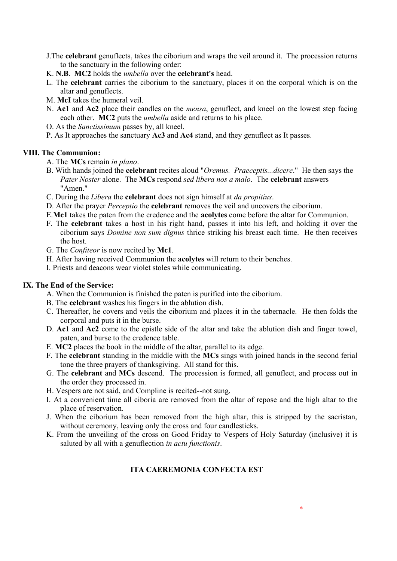- J.The **celebrant** genuflects, takes the ciborium and wraps the veil around it. The procession returns to the sanctuary in the following order:
- K. **N.B**. **MC2** holds the *umbella* over the **celebrant's** head.
- L. The **celebrant** carries the ciborium to the sanctuary, places it on the corporal which is on the altar and genuflects.
- M. **McI** takes the humeral veil.
- N. **Ac1** and **Ac2** place their candles on the *mensa*, genuflect, and kneel on the lowest step facing each other. **MC2** puts the *umbella* aside and returns to his place.
- O. As the *Sanctissimum* passes by, all kneel.
- P. As It approaches the sanctuary **Ac3** and **Ac4** stand, and they genuflect as It passes.

## **VIII. The Communion:**

- A. The **MCs** remain *in plano*.
- B. With hands joined the **celebrant** recites aloud "*Oremus. Praeceptis...dicere*." He then says the *Pater Noster* alone. The **MCs** respond *sed libera nos a malo*. The **celebrant** answers "Amen."
- C. During the *Libera* the **celebrant** does not sign himself at *da propitius*.
- D. After the prayer *Perceptio* the **celebrant** removes the veil and uncovers the ciborium.
- E.**Mc1** takes the paten from the credence and the **acolytes** come before the altar for Communion.
- F. The **celebrant** takes a host in his right hand, passes it into his left, and holding it over the ciborium says *Domine non sum dignus* thrice striking his breast each time. He then receives the host.
- G. The *Confiteor* is now recited by **Mc1**.
- H. After having received Communion the **acolytes** will return to their benches.
- I. Priests and deacons wear violet stoles while communicating.

# **IX. The End of the Service:**

A. When the Communion is finished the paten is purified into the ciborium.

- B. The **celebrant** washes his fingers in the ablution dish.
- C. Thereafter, he covers and veils the ciborium and places it in the tabernacle. He then folds the corporal and puts it in the burse.
- D. **Ac1** and **Ac2** come to the epistle side of the altar and take the ablution dish and finger towel, paten, and burse to the credence table.
- E. **MC2** places the book in the middle of the altar, parallel to its edge.
- F. The **celebrant** standing in the middle with the **MCs** sings with joined hands in the second ferial tone the three prayers of thanksgiving. All stand for this.
- G. The **celebrant** and **MCs** descend. The procession is formed, all genuflect, and process out in the order they processed in.
- H. Vespers are not said, and Compline is recited--not sung.
- I. At a convenient time all ciboria are removed from the altar of repose and the high altar to the place of reservation.
- J. When the ciborium has been removed from the high altar, this is stripped by the sacristan, without ceremony, leaving only the cross and four candlesticks.
- K. From the unveiling of the cross on Good Friday to Vespers of Holy Saturday (inclusive) it is saluted by all with a genuflection *in actu functionis*.

# **ITA CAEREMONIA CONFECTA EST**